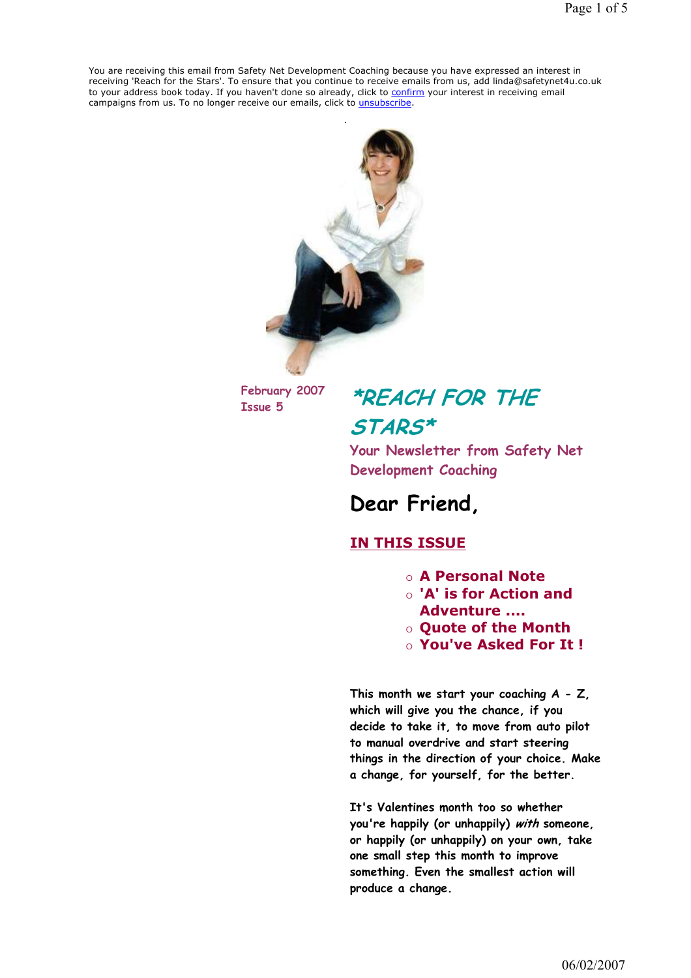You are receiving this email from Safety Net Development Coaching because you have expressed an interest in receiving 'Reach for the Stars'. To ensure that you continue to receive emails from us, add linda@safetynet4u.co.uk to your address book today. If you haven't done so already, click to confirm your interest in receiving email campaigns from us. To no longer receive our emails, click to *unsubscribe*.



February 2007

# February 2007 **\*REACH FOR THE** STARS\*

Your Newsletter from Safety Net Development Coaching

## Dear Friend,

### IN THIS ISSUE

- A Personal Note
- 'A' is for Action and Adventure ....
- Quote of the Month
- You've Asked For It !

This month we start your coaching  $A - Z$ , which will give you the chance, if you decide to take it, to move from auto pilot to manual overdrive and start steering things in the direction of your choice. Make a change, for yourself, for the better.

It's Valentines month too so whether you're happily (or unhappily) with someone, or happily (or unhappily) on your own, take one small step this month to improve something. Even the smallest action will produce a change.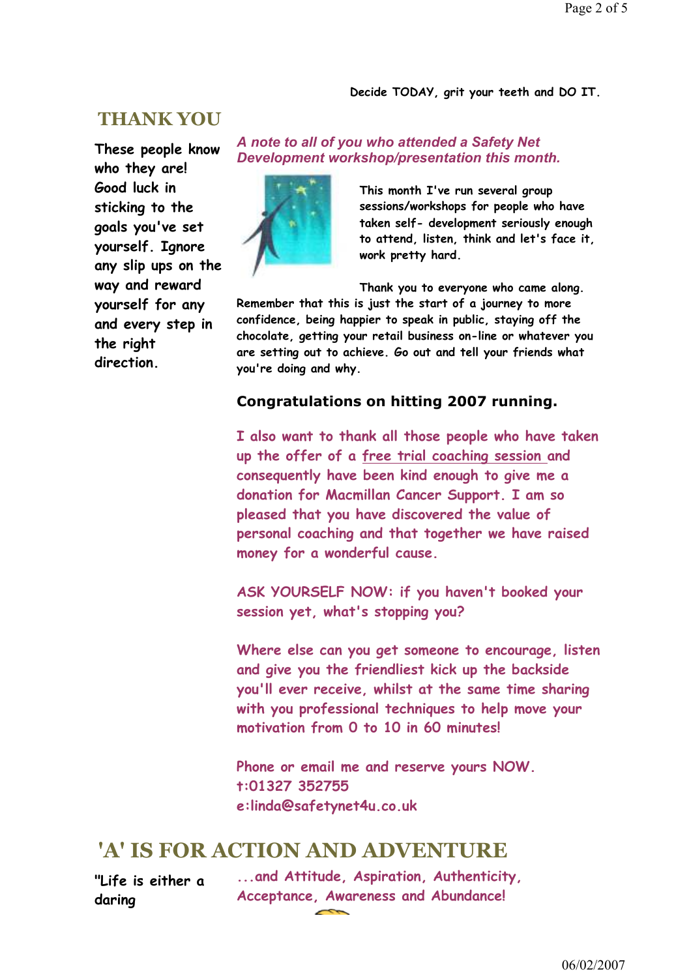#### Decide TODAY, grit your teeth and DO IT.

### THANK YOU

These people know who they are! Good luck in sticking to the goals you've set yourself. Ignore any slip ups on the way and reward yourself for any and every step in the right direction.

#### A note to all of you who attended a Safety Net Development workshop/presentation this month.



This month I've run several group sessions/workshops for people who have taken self- development seriously enough to attend, listen, think and let's face it, work pretty hard.

Thank you to everyone who came along. Remember that this is just the start of a journey to more confidence, being happier to speak in public, staying off the chocolate, getting your retail business on-line or whatever you are setting out to achieve. Go out and tell your friends what you're doing and why.

#### Congratulations on hitting 2007 running.

I also want to thank all those people who have taken up the offer of a free trial coaching session and consequently have been kind enough to give me a donation for Macmillan Cancer Support. I am so pleased that you have discovered the value of personal coaching and that together we have raised money for a wonderful cause.

ASK YOURSELF NOW: if you haven't booked your session yet, what's stopping you?

Where else can you get someone to encourage, listen and give you the friendliest kick up the backside you'll ever receive, whilst at the same time sharing with you professional techniques to help move your motivation from 0 to 10 in 60 minutes!

Phone or email me and reserve yours NOW. t:01327 352755 e:linda@safetynet4u.co.uk

### 'A' IS FOR ACTION AND ADVENTURE

"Life is either a daring

...and Attitude, Aspiration, Authenticity, Acceptance, Awareness and Abundance!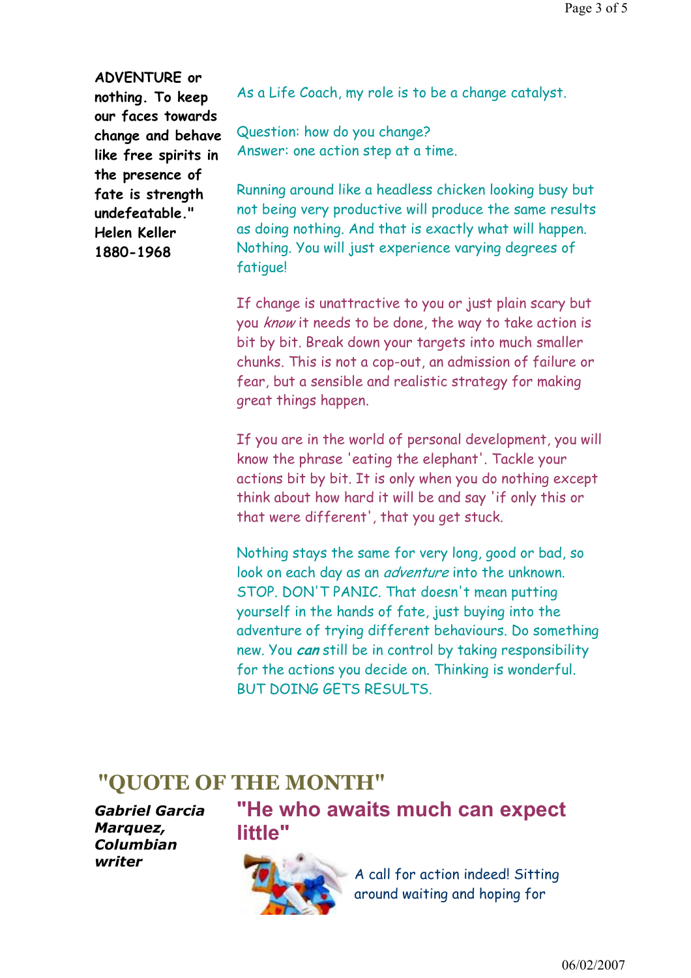ADVENTURE or nothing. To keep our faces towards change and behave like free spirits in the presence of fate is strength undefeatable." Helen Keller 1880-1968

As a Life Coach, my role is to be a change catalyst.

Question: how do you change? Answer: one action step at a time.

Running around like a headless chicken looking busy but not being very productive will produce the same results as doing nothing. And that is exactly what will happen. Nothing. You will just experience varying degrees of fatigue!

If change is unattractive to you or just plain scary but you know it needs to be done, the way to take action is bit by bit. Break down your targets into much smaller chunks. This is not a cop-out, an admission of failure or fear, but a sensible and realistic strategy for making great things happen.

If you are in the world of personal development, you will know the phrase 'eating the elephant'. Tackle your actions bit by bit. It is only when you do nothing except think about how hard it will be and say 'if only this or that were different', that you get stuck.

Nothing stays the same for very long, good or bad, so look on each day as an *adventure* into the unknown. STOP. DON'T PANIC. That doesn't mean putting yourself in the hands of fate, just buying into the adventure of trying different behaviours. Do something new. You can still be in control by taking responsibility for the actions you decide on. Thinking is wonderful. BUT DOING GETS RESULTS.

### "QUOTE OF THE MONTH"

Gabriel Garcia Marquez, Columbian writer

# "He who awaits much can expect little"



A call for action indeed! Sitting around waiting and hoping for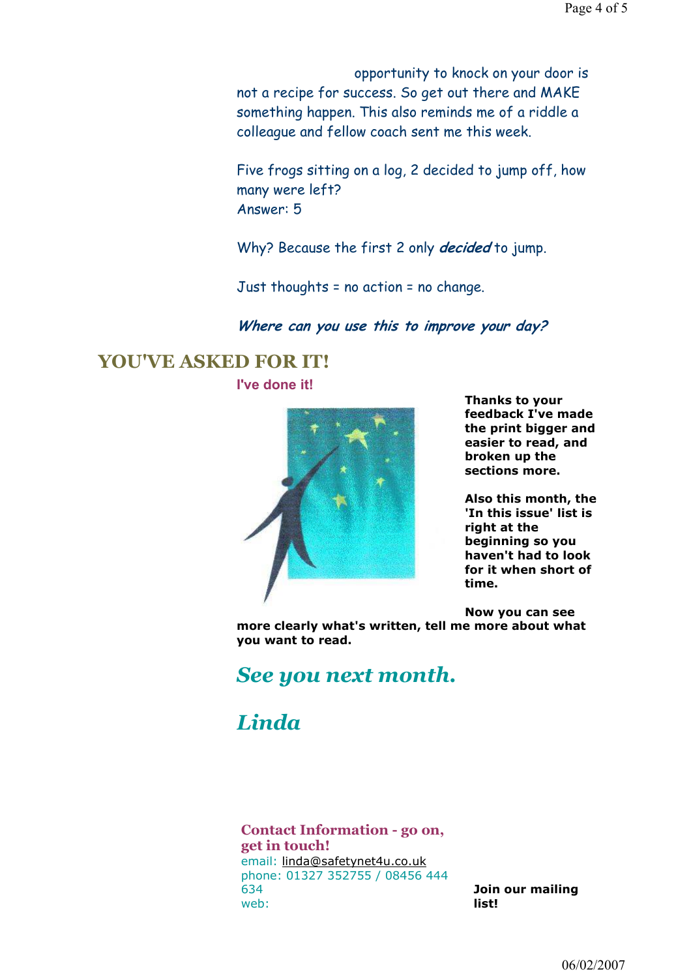opportunity to knock on your door is not a recipe for success. So get out there and MAKE something happen. This also reminds me of a riddle a colleague and fellow coach sent me this week.

Five frogs sitting on a log, 2 decided to jump off, how many were left? Answer: 5

Why? Because the first 2 only *decided* to jump.

Just thoughts = no action = no change.

#### Where can you use this to improve your day?

### YOU'VE ASKED FOR IT! I've done it!



Thanks to your feedback I've made the print bigger and easier to read, and broken up the sections more.

Also this month, the 'In this issue' list is right at the beginning so you haven't had to look for it when short of time.

Now you can see more clearly what's written, tell me more about what you want to read.

## See you next month.

# Linda

Contact Information - go on, get in touch! email: linda@safetynet4u.co.uk phone: 01327 352755 / 08456 444 634 web:

Join our mailing list!